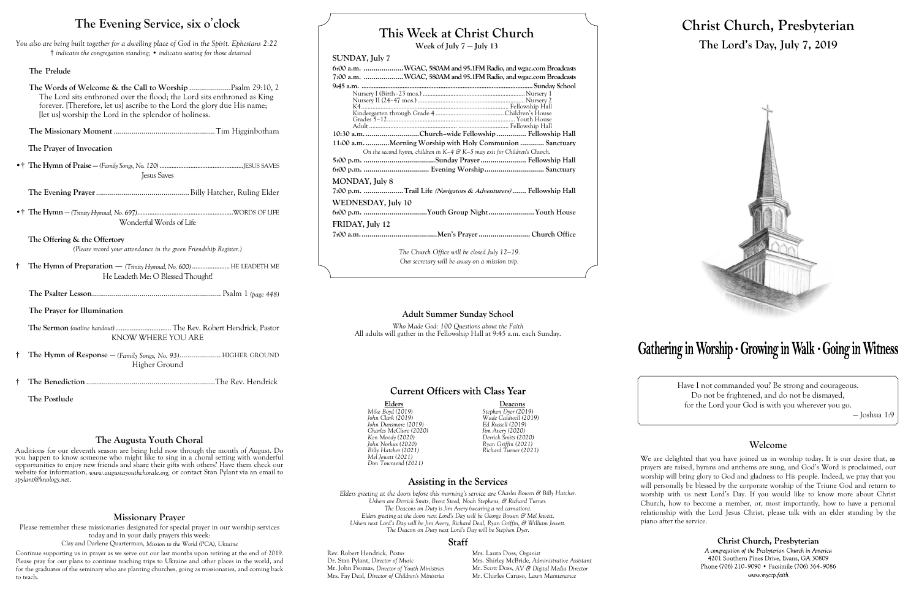## **This Week at Christ Church**

**Week of July 7 — July 13**

#### **SUNDAY, July 7**

| 6:00 a.m. WGAC, 580AM and 95.1FM Radio, and wgac.com Broadcasts               |  |  |  |
|-------------------------------------------------------------------------------|--|--|--|
| 7:00 a.m. WGAC, 580AM and 95.1FM Radio, and wgac.com Broadcasts               |  |  |  |
|                                                                               |  |  |  |
|                                                                               |  |  |  |
|                                                                               |  |  |  |
|                                                                               |  |  |  |
|                                                                               |  |  |  |
|                                                                               |  |  |  |
|                                                                               |  |  |  |
| 10:30 a.m. Church-wide Fellowship  Fellowship Hall                            |  |  |  |
| 11:00 a.m. Morning Worship with Holy Communion  Sanctuary                     |  |  |  |
| On the second hymn, children in $K-4$ & $K-5$ may exit for Children's Church. |  |  |  |
|                                                                               |  |  |  |
|                                                                               |  |  |  |
| MONDAY, July 8                                                                |  |  |  |
| 7:00 p.m. Trail Life (Navigators & Adventurers)  Fellowship Hall              |  |  |  |
| WEDNESDAY, July 10                                                            |  |  |  |
| 6:00 p.m. Youth Group NightYouth House                                        |  |  |  |
| FRIDAY, July 12                                                               |  |  |  |
|                                                                               |  |  |  |
| The Church Office will be closed July 12–19.                                  |  |  |  |

*Our secretary will be away on a mission trip.*

**Elders Deacons** *Billy Hatcher (2021) Richard Turner (2021)*

#### **Assisting in the Services**

*Mike Boyd (2019) Stephen Dyer (2019) John Clark (2019) Wade Caldwell (2019) John Dunsmore (2019) Ed Russell (2019) Charles McClure (2020) Jim Avery (2020) Ken Moody (2020) Derrick Smits (2020) John Norkus (2020) Ryan Griffin (2021) Mel Jewett (2021) Don Townsend (2021)*

*Elders greeting at the doors before this morning's service are Charles Bowen & Billy Hatcher. Ushers are Derrick Smits, Brent Steed, Noah Stephens, & Richard Turner. The Deacons on Duty is Jim Avery (wearing a red carnation). Elders greeting at the doors next Lord's Day will be George Bowen & Mel Jewett. Ushers next Lord's Day will be Jim Avery, Richard Deal, Ryan Griffin, & William Jewett. The Deacon on Duty next Lord's Day will be Stephen Dyer.*

#### **Staff**

Rev. Robert Hendrick, *Pastor* Mrs. Laura Doss, *Organist*<br>Dr. Stan Pylant, *Director of Music* Mrs. Shirley McBride, *Adm* Mr. John Psomas, *Director of Youth Ministries*<br>Mrs. Fay Deal, *Director of Children's Ministries* 

Mrs. Shirley McBride, *Administrative Assistant* Mr. Scott Doss, *AV & Digital Media Director* Mr. Charles Caruso, *Lawn Maintenance* 



# **Christ Church, Presbyterian The Lord's Day, July 7, 2019**



Have I not commanded you? Be strong and courageous. Do not be frightened, and do not be dismayed, for the Lord your God is with you wherever you go.

— Joshua 1:9

#### **Welcome**

We are delighted that you have joined us in worship today. It is our desire that, as prayers are raised, hymns and anthems are sung, and God's Word is proclaimed, our worship will bring glory to God and gladness to His people. Indeed, we pray that you will personally be blessed by the corporate worship of the Triune God and return to worship with us next Lord's Day. If you would like to know more about Christ Church, how to become a member, or, most importantly, how to have a personal relationship with the Lord Jesus Christ, please talk with an elder standing by the

> Christ Church, Presbyterian A congregation of the Presbyterian Church in America 4201 Southern Pines Drive, Evans, GA 30809 Phone (706) 210-9090 • Facsimile (706) 364-9086 www.myccp.faith

piano after the service.

### **The Evening Service, six o**'**clock**

*You also are being built together for a dwelling place of God in the Spirit. Ephesians 2:22* † *indicates the congregation standing;* • *indicates seating for those detained*

#### **The Prelude**

**The Words of Welcome & the Call to Worship** .....................Psalm 29:10, 2 The Lord sits enthroned over the flood; the Lord sits enthroned as King forever. [Therefore, let us] ascribe to the Lord the glory due His name; [let us] worship the Lord in the splendor of holiness.

**The Missionary Moment** ...................................................Tim Higginbotham

**The Prayer of Invocation**

•† **The Hymn of Praise** — *(Family Songs, No. 120)*.................................................JESUS SAVES Jesus Saves

**The Evening Prayer**...............................................Billy Hatcher, Ruling Elder

•† **The Hymn** — *(Trinity Hymnal, No. 697)*........................................................WORDS OF LIFE Wonderful Words of Life

**The Offering & the Offertory** *(Please record your attendance in the green Friendship Register.)*

- **† The Hymn of Preparation**  *(Trinity Hymnal, No. 600)* ......................HE LEADETH ME He Leadeth Me: O Blessed Thought!
	- **The Psalter Lesson**................................................................. Psalm 1 *(page 448)*

**The Prayer for Illumination**

**The Sermon** *(outline handout)*............................... The Rev. Robert Hendrick, Pastor KNOW WHERE YOU ARE

- **† The Hymn of Response —** *(Family Songs, No. 93)*..................... HIGHER GROUND Higher Ground
- † **The Benediction** .................................................................The Rev. Hendrick

**The Postlude**

#### **Adult Summer Sunday School**

*Who Made God: 100 Questions about the Faith* All adults will gather in the Fellowship Hall at 9:45 a.m. each Sunday.

# Gathering in Worship · Growing in Walk · Going in Witness

#### **Current Officers with Class Year**

#### **Missionary Prayer**

Please remember these missionaries designated for special prayer in our worship services today and in your daily prayers this week:

Clay and Darlene Quarterman, *Mission to the World (PCA), Ukraine*

Continue supporting us in prayer as we serve out our last months upon retiring at the end of 2019. Please pray for our plans to continue teaching trips to Ukraine and other places in the world, and for the graduates of the seminary who are planting churches, going as missionaries, and coming back to teach.

#### **The Augusta Youth Choral**

Auditions for our eleventh season are being held now through the month of August. Do you happen to know someone who might like to sing in a choral setting with wonderful opportunities to enjoy new friends and share their gifts with others? Have them check our website for information, *www.augustayouthchorale.org,* or contact Stan Pylant via an email to *spylant@knology.net*.